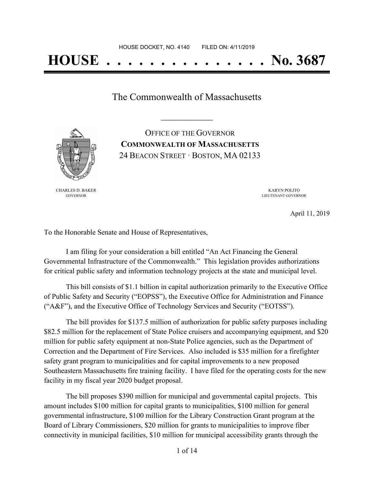# **HOUSE . . . . . . . . . . . . . . . No. 3687**

The Commonwealth of Massachusetts

**\_\_\_\_\_\_\_\_\_\_\_\_\_\_\_\_\_**

OFFICE OF THE GOVERNOR **COMMONWEALTH OF MASSACHUSETTS** 24 BEACON STREET · BOSTON, MA 02133



CHARLES D. BAKER GOVERNOR

KARYN POLITO LIEUTENANT GOVERNOR

April 11, 2019

To the Honorable Senate and House of Representatives,

I am filing for your consideration a bill entitled "An Act Financing the General Governmental Infrastructure of the Commonwealth." This legislation provides authorizations for critical public safety and information technology projects at the state and municipal level.

This bill consists of \$1.1 billion in capital authorization primarily to the Executive Office of Public Safety and Security ("EOPSS"), the Executive Office for Administration and Finance ("A&F"), and the Executive Office of Technology Services and Security ("EOTSS").

The bill provides for \$137.5 million of authorization for public safety purposes including \$82.5 million for the replacement of State Police cruisers and accompanying equipment, and \$20 million for public safety equipment at non-State Police agencies, such as the Department of Correction and the Department of Fire Services. Also included is \$35 million for a firefighter safety grant program to municipalities and for capital improvements to a new proposed Southeastern Massachusetts fire training facility. I have filed for the operating costs for the new facility in my fiscal year 2020 budget proposal.

The bill proposes \$390 million for municipal and governmental capital projects. This amount includes \$100 million for capital grants to municipalities, \$100 million for general governmental infrastructure, \$100 million for the Library Construction Grant program at the Board of Library Commissioners, \$20 million for grants to municipalities to improve fiber connectivity in municipal facilities, \$10 million for municipal accessibility grants through the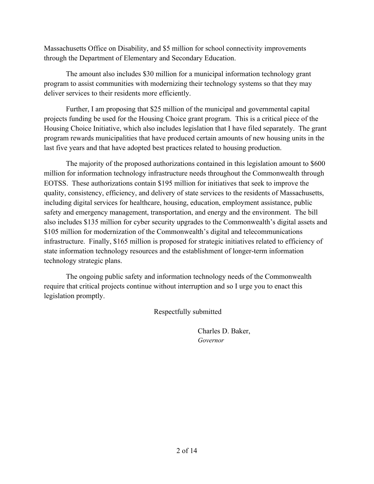Massachusetts Office on Disability, and \$5 million for school connectivity improvements through the Department of Elementary and Secondary Education.

The amount also includes \$30 million for a municipal information technology grant program to assist communities with modernizing their technology systems so that they may deliver services to their residents more efficiently.

Further, I am proposing that \$25 million of the municipal and governmental capital projects funding be used for the Housing Choice grant program. This is a critical piece of the Housing Choice Initiative, which also includes legislation that I have filed separately. The grant program rewards municipalities that have produced certain amounts of new housing units in the last five years and that have adopted best practices related to housing production.

The majority of the proposed authorizations contained in this legislation amount to \$600 million for information technology infrastructure needs throughout the Commonwealth through EOTSS. These authorizations contain \$195 million for initiatives that seek to improve the quality, consistency, efficiency, and delivery of state services to the residents of Massachusetts, including digital services for healthcare, housing, education, employment assistance, public safety and emergency management, transportation, and energy and the environment. The bill also includes \$135 million for cyber security upgrades to the Commonwealth's digital assets and \$105 million for modernization of the Commonwealth's digital and telecommunications infrastructure. Finally, \$165 million is proposed for strategic initiatives related to efficiency of state information technology resources and the establishment of longer-term information technology strategic plans.

The ongoing public safety and information technology needs of the Commonwealth require that critical projects continue without interruption and so I urge you to enact this legislation promptly.

Respectfully submitted

Charles D. Baker, *Governor*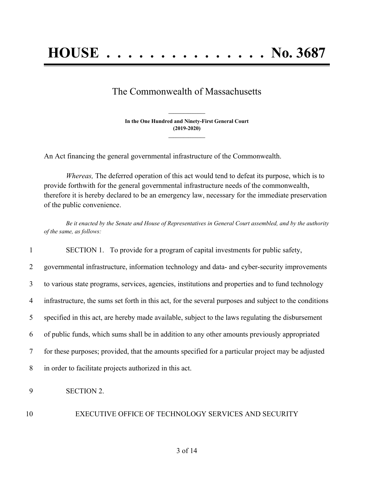## The Commonwealth of Massachusetts

**In the One Hundred and Ninety-First General Court (2019-2020) \_\_\_\_\_\_\_\_\_\_\_\_\_\_\_**

**\_\_\_\_\_\_\_\_\_\_\_\_\_\_\_**

An Act financing the general governmental infrastructure of the Commonwealth.

*Whereas,* The deferred operation of this act would tend to defeat its purpose, which is to provide forthwith for the general governmental infrastructure needs of the commonwealth, therefore it is hereby declared to be an emergency law, necessary for the immediate preservation of the public convenience.

Be it enacted by the Senate and House of Representatives in General Court assembled, and by the authority *of the same, as follows:*

 SECTION 1. To provide for a program of capital investments for public safety, governmental infrastructure, information technology and data- and cyber-security improvements to various state programs, services, agencies, institutions and properties and to fund technology infrastructure, the sums set forth in this act, for the several purposes and subject to the conditions specified in this act, are hereby made available, subject to the laws regulating the disbursement of public funds, which sums shall be in addition to any other amounts previously appropriated for these purposes; provided, that the amounts specified for a particular project may be adjusted in order to facilitate projects authorized in this act. SECTION 2.

#### 10 EXECUTIVE OFFICE OF TECHNOLOGY SERVICES AND SECURITY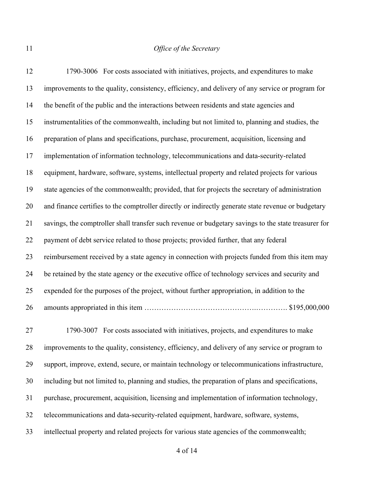1790-3006 For costs associated with initiatives, projects, and expenditures to make improvements to the quality, consistency, efficiency, and delivery of any service or program for the benefit of the public and the interactions between residents and state agencies and instrumentalities of the commonwealth, including but not limited to, planning and studies, the preparation of plans and specifications, purchase, procurement, acquisition, licensing and implementation of information technology, telecommunications and data-security-related equipment, hardware, software, systems, intellectual property and related projects for various state agencies of the commonwealth; provided, that for projects the secretary of administration and finance certifies to the comptroller directly or indirectly generate state revenue or budgetary savings, the comptroller shall transfer such revenue or budgetary savings to the state treasurer for payment of debt service related to those projects; provided further, that any federal reimbursement received by a state agency in connection with projects funded from this item may be retained by the state agency or the executive office of technology services and security and expended for the purposes of the project, without further appropriation, in addition to the amounts appropriated in this item ……………………………………….…………. \$195,000,000 1790-3007 For costs associated with initiatives, projects, and expenditures to make improvements to the quality, consistency, efficiency, and delivery of any service or program to support, improve, extend, secure, or maintain technology or telecommunications infrastructure, including but not limited to, planning and studies, the preparation of plans and specifications, purchase, procurement, acquisition, licensing and implementation of information technology, telecommunications and data-security-related equipment, hardware, software, systems, intellectual property and related projects for various state agencies of the commonwealth;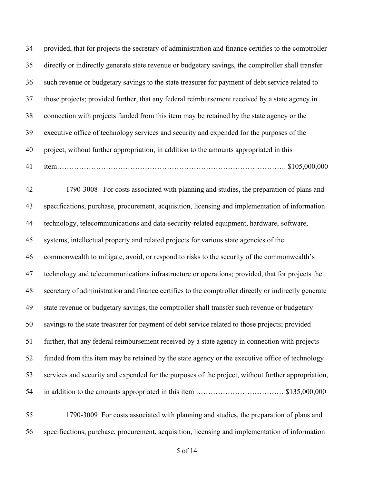provided, that for projects the secretary of administration and finance certifies to the comptroller directly or indirectly generate state revenue or budgetary savings, the comptroller shall transfer such revenue or budgetary savings to the state treasurer for payment of debt service related to those projects; provided further, that any federal reimbursement received by a state agency in connection with projects funded from this item may be retained by the state agency or the executive office of technology services and security and expended for the purposes of the project, without further appropriation, in addition to the amounts appropriated in this item…………………………………………………………………………………. \$105,000,000 1790-3008 For costs associated with planning and studies, the preparation of plans and specifications, purchase, procurement, acquisition, licensing and implementation of information technology, telecommunications and data-security-related equipment, hardware, software, systems, intellectual property and related projects for various state agencies of the commonwealth to mitigate, avoid, or respond to risks to the security of the commonwealth's technology and telecommunications infrastructure or operations; provided, that for projects the secretary of administration and finance certifies to the comptroller directly or indirectly generate state revenue or budgetary savings, the comptroller shall transfer such revenue or budgetary savings to the state treasurer for payment of debt service related to those projects; provided further, that any federal reimbursement received by a state agency in connection with projects funded from this item may be retained by the state agency or the executive office of technology services and security and expended for the purposes of the project, without further appropriation, in addition to the amounts appropriated in this item ……………………………… \$135,000,000

 1790-3009 For costs associated with planning and studies, the preparation of plans and specifications, purchase, procurement, acquisition, licensing and implementation of information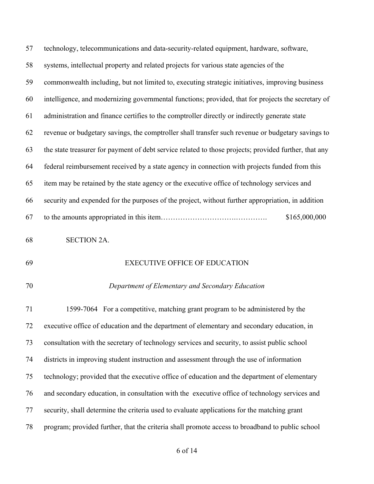| 57 | technology, telecommunications and data-security-related equipment, hardware, software,               |
|----|-------------------------------------------------------------------------------------------------------|
| 58 | systems, intellectual property and related projects for various state agencies of the                 |
| 59 | commonwealth including, but not limited to, executing strategic initiatives, improving business       |
| 60 | intelligence, and modernizing governmental functions; provided, that for projects the secretary of    |
| 61 | administration and finance certifies to the comptroller directly or indirectly generate state         |
| 62 | revenue or budgetary savings, the comptroller shall transfer such revenue or budgetary savings to     |
| 63 | the state treasurer for payment of debt service related to those projects; provided further, that any |
| 64 | federal reimbursement received by a state agency in connection with projects funded from this         |
| 65 | item may be retained by the state agency or the executive office of technology services and           |
| 66 | security and expended for the purposes of the project, without further appropriation, in addition     |
| 67 | \$165,000,000                                                                                         |
| 68 | <b>SECTION 2A.</b>                                                                                    |
| 69 | <b>EXECUTIVE OFFICE OF EDUCATION</b>                                                                  |
| 70 | Department of Elementary and Secondary Education                                                      |
| 71 | 1599-7064 For a competitive, matching grant program to be administered by the                         |
| 72 | executive office of education and the department of elementary and secondary education, in            |
| 73 | consultation with the secretary of technology services and security, to assist public school          |

districts in improving student instruction and assessment through the use of information

technology; provided that the executive office of education and the department of elementary

and secondary education, in consultation with the executive office of technology services and

- security, shall determine the criteria used to evaluate applications for the matching grant
- program; provided further, that the criteria shall promote access to broadband to public school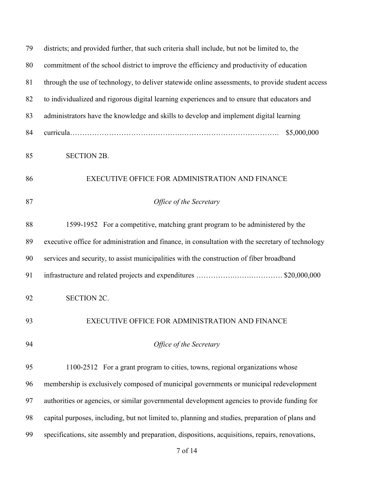| 79 | districts; and provided further, that such criteria shall include, but not be limited to, the     |
|----|---------------------------------------------------------------------------------------------------|
| 80 | commitment of the school district to improve the efficiency and productivity of education         |
| 81 | through the use of technology, to deliver statewide online assessments, to provide student access |
| 82 | to individualized and rigorous digital learning experiences and to ensure that educators and      |
| 83 | administrators have the knowledge and skills to develop and implement digital learning            |
| 84 | \$5,000,000                                                                                       |
| 85 | <b>SECTION 2B.</b>                                                                                |
| 86 | EXECUTIVE OFFICE FOR ADMINISTRATION AND FINANCE                                                   |
| 87 | Office of the Secretary                                                                           |
| 88 | 1599-1952 For a competitive, matching grant program to be administered by the                     |
| 89 | executive office for administration and finance, in consultation with the secretary of technology |
| 90 | services and security, to assist municipalities with the construction of fiber broadband          |
| 91 |                                                                                                   |
| 92 | <b>SECTION 2C.</b>                                                                                |
| 93 | EXECUTIVE OFFICE FOR ADMINISTRATION AND FINANCE                                                   |
| 94 | Office of the Secretary                                                                           |
| 95 | 1100-2512 For a grant program to cities, towns, regional organizations whose                      |
| 96 | membership is exclusively composed of municipal governments or municipal redevelopment            |
| 97 | authorities or agencies, or similar governmental development agencies to provide funding for      |
| 98 | capital purposes, including, but not limited to, planning and studies, preparation of plans and   |
| 99 | specifications, site assembly and preparation, dispositions, acquisitions, repairs, renovations,  |
|    |                                                                                                   |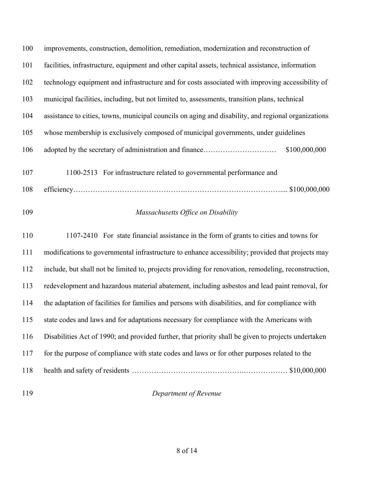| 100 | improvements, construction, demolition, remediation, modernization and reconstruction of             |
|-----|------------------------------------------------------------------------------------------------------|
| 101 | facilities, infrastructure, equipment and other capital assets, technical assistance, information    |
| 102 | technology equipment and infrastructure and for costs associated with improving accessibility of     |
| 103 | municipal facilities, including, but not limited to, assessments, transition plans, technical        |
| 104 | assistance to cities, towns, municipal councils on aging and disability, and regional organizations  |
| 105 | whose membership is exclusively composed of municipal governments, under guidelines                  |
| 106 | \$100,000,000                                                                                        |
| 107 | 1100-2513 For infrastructure related to governmental performance and                                 |
| 108 |                                                                                                      |
| 109 | Massachusetts Office on Disability                                                                   |
| 110 | 1107-2410 For state financial assistance in the form of grants to cities and towns for               |
| 111 | modifications to governmental infrastructure to enhance accessibility; provided that projects may    |
| 112 | include, but shall not be limited to, projects providing for renovation, remodeling, reconstruction, |
| 113 | redevelopment and hazardous material abatement, including asbestos and lead paint removal, for       |
| 114 | the adaptation of facilities for families and persons with disabilities, and for compliance with     |
| 115 | state codes and laws and for adaptations necessary for compliance with the Americans with            |
| 116 | Disabilities Act of 1990; and provided further, that priority shall be given to projects undertaken  |
| 117 | for the purpose of compliance with state codes and laws or for other purposes related to the         |
| 118 |                                                                                                      |
|     |                                                                                                      |

## *Department of Revenue*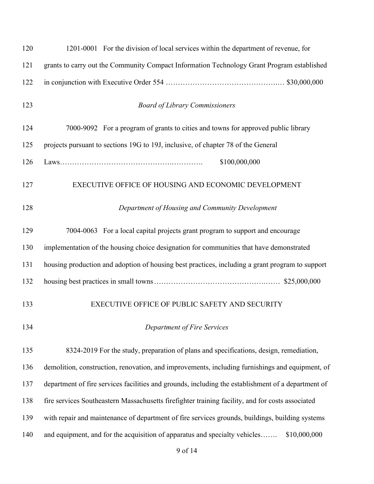| 120 | 1201-0001 For the division of local services within the department of revenue, for                 |
|-----|----------------------------------------------------------------------------------------------------|
| 121 | grants to carry out the Community Compact Information Technology Grant Program established         |
| 122 |                                                                                                    |
| 123 | <b>Board of Library Commissioners</b>                                                              |
| 124 | 7000-9092 For a program of grants to cities and towns for approved public library                  |
| 125 | projects pursuant to sections 19G to 19J, inclusive, of chapter 78 of the General                  |
| 126 | \$100,000,000                                                                                      |
| 127 | EXECUTIVE OFFICE OF HOUSING AND ECONOMIC DEVELOPMENT                                               |
| 128 | Department of Housing and Community Development                                                    |
| 129 | 7004-0063 For a local capital projects grant program to support and encourage                      |
| 130 | implementation of the housing choice designation for communities that have demonstrated            |
| 131 | housing production and adoption of housing best practices, including a grant program to support    |
| 132 |                                                                                                    |
| 133 | EXECUTIVE OFFICE OF PUBLIC SAFETY AND SECURITY                                                     |
| 134 | Department of Fire Services                                                                        |
| 135 | 8324-2019 For the study, preparation of plans and specifications, design, remediation,             |
| 136 | demolition, construction, renovation, and improvements, including furnishings and equipment, of    |
| 137 | department of fire services facilities and grounds, including the establishment of a department of |
| 138 | fire services Southeastern Massachusetts firefighter training facility, and for costs associated   |
| 139 | with repair and maintenance of department of fire services grounds, buildings, building systems    |
| 140 | and equipment, and for the acquisition of apparatus and specialty vehicles<br>\$10,000,000         |
|     |                                                                                                    |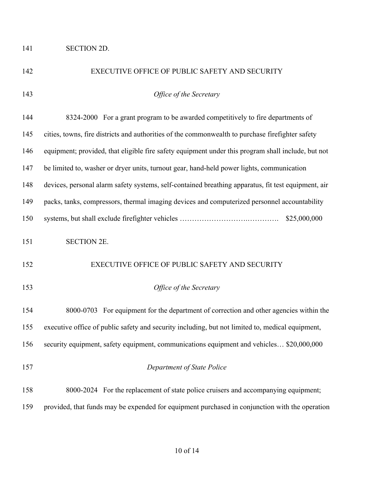### SECTION 2D.

| 142 | EXECUTIVE OFFICE OF PUBLIC SAFETY AND SECURITY                                                      |
|-----|-----------------------------------------------------------------------------------------------------|
| 143 | Office of the Secretary                                                                             |
| 144 | 8324-2000 For a grant program to be awarded competitively to fire departments of                    |
| 145 | cities, towns, fire districts and authorities of the commonwealth to purchase firefighter safety    |
| 146 | equipment; provided, that eligible fire safety equipment under this program shall include, but not  |
| 147 | be limited to, washer or dryer units, turnout gear, hand-held power lights, communication           |
| 148 | devices, personal alarm safety systems, self-contained breathing apparatus, fit test equipment, air |
| 149 | packs, tanks, compressors, thermal imaging devices and computerized personnel accountability        |
| 150 | \$25,000,000                                                                                        |
| 151 | <b>SECTION 2E.</b>                                                                                  |
| 152 | EXECUTIVE OFFICE OF PUBLIC SAFETY AND SECURITY                                                      |
| 153 | Office of the Secretary                                                                             |
| 154 | 8000-0703 For equipment for the department of correction and other agencies within the              |
| 155 | executive office of public safety and security including, but not limited to, medical equipment,    |
| 156 | security equipment, safety equipment, communications equipment and vehicles \$20,000,000            |
| 157 | Department of State Police                                                                          |
| 158 | 8000-2024 For the replacement of state police cruisers and accompanying equipment;                  |
| 159 | provided, that funds may be expended for equipment purchased in conjunction with the operation      |
|     |                                                                                                     |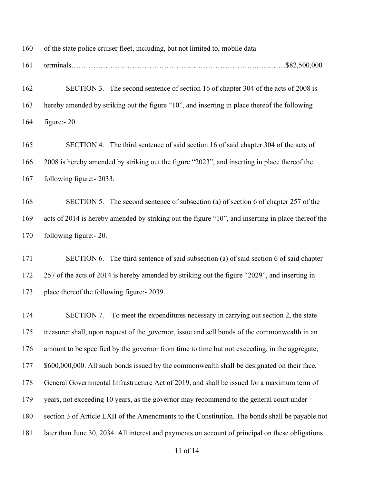of the state police cruiser fleet, including, but not limited to, mobile data

terminals………………………………………………………………….…………\$82,500,000

 SECTION 3. The second sentence of section 16 of chapter 304 of the acts of 2008 is hereby amended by striking out the figure "10", and inserting in place thereof the following figure:- 20.

 SECTION 4. The third sentence of said section 16 of said chapter 304 of the acts of 2008 is hereby amended by striking out the figure "2023", and inserting in place thereof the following figure:- 2033.

 SECTION 5. The second sentence of subsection (a) of section 6 of chapter 257 of the acts of 2014 is hereby amended by striking out the figure "10", and inserting in place thereof the following figure:- 20.

 SECTION 6. The third sentence of said subsection (a) of said section 6 of said chapter 257 of the acts of 2014 is hereby amended by striking out the figure "2029", and inserting in place thereof the following figure:- 2039.

174 SECTION 7. To meet the expenditures necessary in carrying out section 2, the state treasurer shall, upon request of the governor, issue and sell bonds of the commonwealth in an amount to be specified by the governor from time to time but not exceeding, in the aggregate, 177 \$600,000,000. All such bonds issued by the commonwealth shall be designated on their face, General Governmental Infrastructure Act of 2019, and shall be issued for a maximum term of years, not exceeding 10 years, as the governor may recommend to the general court under section 3 of Article LXII of the Amendments to the Constitution. The bonds shall be payable not later than June 30, 2034. All interest and payments on account of principal on these obligations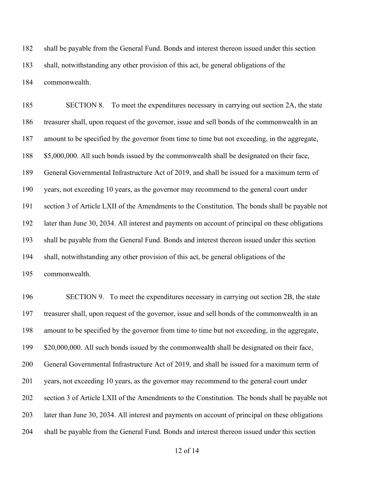shall be payable from the General Fund. Bonds and interest thereon issued under this section shall, notwithstanding any other provision of this act, be general obligations of the commonwealth.

 SECTION 8. To meet the expenditures necessary in carrying out section 2A, the state treasurer shall, upon request of the governor, issue and sell bonds of the commonwealth in an amount to be specified by the governor from time to time but not exceeding, in the aggregate, 188 \$5,000,000. All such bonds issued by the commonwealth shall be designated on their face, General Governmental Infrastructure Act of 2019, and shall be issued for a maximum term of years, not exceeding 10 years, as the governor may recommend to the general court under section 3 of Article LXII of the Amendments to the Constitution. The bonds shall be payable not later than June 30, 2034. All interest and payments on account of principal on these obligations shall be payable from the General Fund. Bonds and interest thereon issued under this section shall, notwithstanding any other provision of this act, be general obligations of the commonwealth.

 SECTION 9. To meet the expenditures necessary in carrying out section 2B, the state treasurer shall, upon request of the governor, issue and sell bonds of the commonwealth in an amount to be specified by the governor from time to time but not exceeding, in the aggregate, 199 \$20,000,000. All such bonds issued by the commonwealth shall be designated on their face, General Governmental Infrastructure Act of 2019, and shall be issued for a maximum term of years, not exceeding 10 years, as the governor may recommend to the general court under section 3 of Article LXII of the Amendments to the Constitution. The bonds shall be payable not later than June 30, 2034. All interest and payments on account of principal on these obligations shall be payable from the General Fund. Bonds and interest thereon issued under this section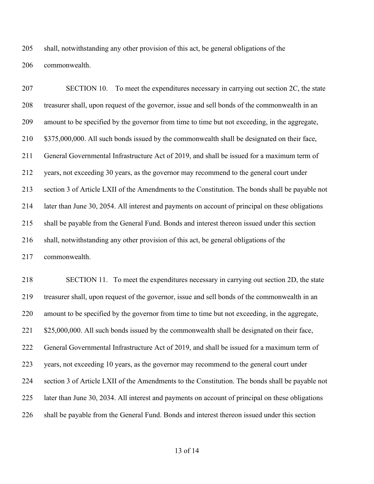shall, notwithstanding any other provision of this act, be general obligations of the commonwealth.

 SECTION 10. To meet the expenditures necessary in carrying out section 2C, the state treasurer shall, upon request of the governor, issue and sell bonds of the commonwealth in an amount to be specified by the governor from time to time but not exceeding, in the aggregate, 210 \$375,000,000. All such bonds issued by the commonwealth shall be designated on their face, General Governmental Infrastructure Act of 2019, and shall be issued for a maximum term of years, not exceeding 30 years, as the governor may recommend to the general court under section 3 of Article LXII of the Amendments to the Constitution. The bonds shall be payable not later than June 30, 2054. All interest and payments on account of principal on these obligations shall be payable from the General Fund. Bonds and interest thereon issued under this section shall, notwithstanding any other provision of this act, be general obligations of the commonwealth.

 SECTION 11. To meet the expenditures necessary in carrying out section 2D, the state treasurer shall, upon request of the governor, issue and sell bonds of the commonwealth in an amount to be specified by the governor from time to time but not exceeding, in the aggregate, 221 \$25,000,000. All such bonds issued by the commonwealth shall be designated on their face, General Governmental Infrastructure Act of 2019, and shall be issued for a maximum term of years, not exceeding 10 years, as the governor may recommend to the general court under section 3 of Article LXII of the Amendments to the Constitution. The bonds shall be payable not later than June 30, 2034. All interest and payments on account of principal on these obligations shall be payable from the General Fund. Bonds and interest thereon issued under this section